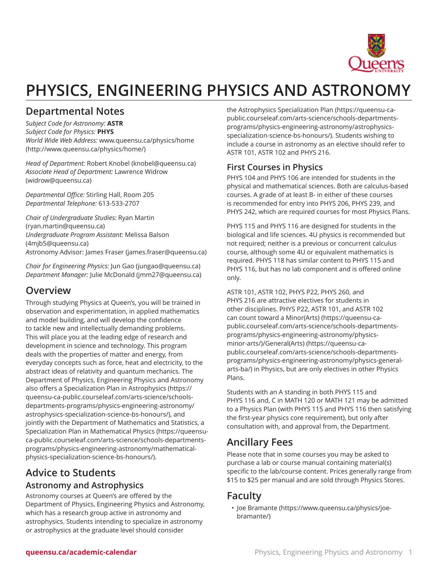

# **PHYSICS, ENGINEERING PHYSICS AND ASTRONOMY**

## **Departmental Notes**

*Subject Code for Astronomy:* **ASTR** *Subject Code for Physics:* **PHYS** *World Wide Web Address:* [www.queensu.ca/physics/home](http://www.queensu.ca/physics/home/) (<http://www.queensu.ca/physics/home/>)

*Head of Department:* [Robert Knobel](mailto:knobel@queensu.ca) (<knobel@queensu.ca>) *Associate Head of Department:* [Lawrence](mailto:widrow@queensu.ca) Widrow (<widrow@queensu.ca>)

*Departmental Office:* Stirling Hall, Room 205 *Departmental Telephone:* 613-533-2707

*Chair of Undergraduate Studies:* [Ryan Martin](mailto:ryan.martin@queensu.ca) ([ryan.martin@queensu.ca\)](ryan.martin@queensu.ca) *Undergraduate Program Assistant:* [Melissa Balson](mailto:4mjb5@queensu.ca) (<4mjb5@queensu.ca>) *A*stronomy Advisor: James [Fraser](mailto:james.fraser@queensu.ca) [\(james.fraser@queensu.ca](james.fraser@queensu.ca))

*Chair for Engineering Physics:* [Jun Gao](mailto:jungao@queensu.ca) ([jungao@queensu.ca\)](jungao@queensu.ca) *Department Manager:* [Julie McDonald](mailto:jmm27@queensu.ca) [\(jmm27@queensu.ca\)](jmm27@queensu.ca)

### **Overview**

Through studying Physics at Queen's, you will be trained in observation and experimentation, in applied mathematics and model building, and will develop the confidence to tackle new and intellectually demanding problems. This will place you at the leading edge of research and development in science and technology. This program deals with the properties of matter and energy, from everyday concepts such as force, heat and electricity, to the abstract ideas of relativity and quantum mechanics. The Department of Physics, Engineering Physics and Astronomy also offers a [Specialization](https://queensu-ca-public.courseleaf.com/arts-science/schools-departments-programs/physics-engineering-astronomy/astrophysics-specialization-science-bs-honours/) Plan in Astrophysics [\(https://](https://queensu-ca-public.courseleaf.com/arts-science/schools-departments-programs/physics-engineering-astronomy/astrophysics-specialization-science-bs-honours/) [queensu-ca-public.courseleaf.com/arts-science/schools](https://queensu-ca-public.courseleaf.com/arts-science/schools-departments-programs/physics-engineering-astronomy/astrophysics-specialization-science-bs-honours/)[departments-programs/physics-engineering-astronomy/](https://queensu-ca-public.courseleaf.com/arts-science/schools-departments-programs/physics-engineering-astronomy/astrophysics-specialization-science-bs-honours/) [astrophysics-specialization-science-bs-honours/](https://queensu-ca-public.courseleaf.com/arts-science/schools-departments-programs/physics-engineering-astronomy/astrophysics-specialization-science-bs-honours/)), and jointly with the Department of Mathematics and Statistics, a [Specialization Plan in Mathematical Physics](https://queensu-ca-public.courseleaf.com/arts-science/schools-departments-programs/physics-engineering-astronomy/mathematical-physics-specialization-science-bs-honours/) [\(https://queensu](https://queensu-ca-public.courseleaf.com/arts-science/schools-departments-programs/physics-engineering-astronomy/mathematical-physics-specialization-science-bs-honours/)[ca-public.courseleaf.com/arts-science/schools-departments](https://queensu-ca-public.courseleaf.com/arts-science/schools-departments-programs/physics-engineering-astronomy/mathematical-physics-specialization-science-bs-honours/)[programs/physics-engineering-astronomy/mathematical](https://queensu-ca-public.courseleaf.com/arts-science/schools-departments-programs/physics-engineering-astronomy/mathematical-physics-specialization-science-bs-honours/)[physics-specialization-science-bs-honours/](https://queensu-ca-public.courseleaf.com/arts-science/schools-departments-programs/physics-engineering-astronomy/mathematical-physics-specialization-science-bs-honours/)).

### **Advice to Students Astronomy and Astrophysics**

Astronomy courses at Queen's are offered by the Department of Physics, Engineering Physics and Astronomy, which has a research group active in astronomy and astrophysics. Students intending to specialize in astronomy or astrophysics at the graduate level should consider

the Astrophysics [Specialization](https://queensu-ca-public.courseleaf.com/arts-science/schools-departments-programs/physics-engineering-astronomy/astrophysics-specialization-science-bs-honours/) Plan [\(https://queensu-ca](https://queensu-ca-public.courseleaf.com/arts-science/schools-departments-programs/physics-engineering-astronomy/astrophysics-specialization-science-bs-honours/)[public.courseleaf.com/arts-science/schools-departments](https://queensu-ca-public.courseleaf.com/arts-science/schools-departments-programs/physics-engineering-astronomy/astrophysics-specialization-science-bs-honours/)[programs/physics-engineering-astronomy/astrophysics](https://queensu-ca-public.courseleaf.com/arts-science/schools-departments-programs/physics-engineering-astronomy/astrophysics-specialization-science-bs-honours/)[specialization-science-bs-honours/\)](https://queensu-ca-public.courseleaf.com/arts-science/schools-departments-programs/physics-engineering-astronomy/astrophysics-specialization-science-bs-honours/). Students wishing to include a course in astronomy as an elective should refer to ASTR 101, ASTR 102 and PHYS 216.

### **First Courses in Physics**

PHYS 104 and PHYS 106 are intended for students in the physical and mathematical sciences. Both are calculus-based courses. A grade of at least B- in either of these courses is recommended for entry into PHYS 206, PHYS 239, and PHYS 242, which are required courses for most Physics Plans.

PHYS 115 and PHYS 116 are designed for students in the biological and life sciences. 4U physics is recommended but not required; neither is a previous or concurrent calculus course, although some 4U or equivalent mathematics is required. PHYS 118 has similar content to PHYS 115 and PHYS 116, but has no lab component and is offered online only.

ASTR 101, ASTR 102, PHYS P22, PHYS 260, and PHYS 216 are attractive electives for students in other disciplines. PHYS P22, ASTR 101, and ASTR 102 can count toward a [Minor\(Arts\)](https://queensu-ca-public.courseleaf.com/arts-science/schools-departments-programs/physics-engineering-astronomy/physics-minor-arts/) ([https://queensu-ca](https://queensu-ca-public.courseleaf.com/arts-science/schools-departments-programs/physics-engineering-astronomy/physics-minor-arts/)[public.courseleaf.com/arts-science/schools-departments](https://queensu-ca-public.courseleaf.com/arts-science/schools-departments-programs/physics-engineering-astronomy/physics-minor-arts/)[programs/physics-engineering-astronomy/physics](https://queensu-ca-public.courseleaf.com/arts-science/schools-departments-programs/physics-engineering-astronomy/physics-minor-arts/)[minor-arts/\)](https://queensu-ca-public.courseleaf.com/arts-science/schools-departments-programs/physics-engineering-astronomy/physics-minor-arts/)/[General\(Arts\)](https://queensu-ca-public.courseleaf.com/arts-science/schools-departments-programs/physics-engineering-astronomy/physics-general-arts-ba/) ([https://queensu-ca](https://queensu-ca-public.courseleaf.com/arts-science/schools-departments-programs/physics-engineering-astronomy/physics-general-arts-ba/)[public.courseleaf.com/arts-science/schools-departments](https://queensu-ca-public.courseleaf.com/arts-science/schools-departments-programs/physics-engineering-astronomy/physics-general-arts-ba/)[programs/physics-engineering-astronomy/physics-general](https://queensu-ca-public.courseleaf.com/arts-science/schools-departments-programs/physics-engineering-astronomy/physics-general-arts-ba/)[arts-ba/](https://queensu-ca-public.courseleaf.com/arts-science/schools-departments-programs/physics-engineering-astronomy/physics-general-arts-ba/)) in Physics, but are only electives in other Physics Plans.

Students with an A standing in both PHYS 115 and PHYS 116 and, C in MATH 120 or MATH 121 may be admitted to a Physics Plan (with PHYS 115 and PHYS 116 then satisfying the first-year physics core requirement), but only after consultation with, and approval from, the Department.

## **Ancillary Fees**

Please note that in some courses you may be asked to purchase a lab or course manual containing material(s) specific to the lab/course content. Prices generally range from \$15 to \$25 per manual and are sold through Physics Stores.

## **Faculty**

• Joe [Bramante](https://www.queensu.ca/physics/joe-bramante/) ([https://www.queensu.ca/physics/joe](https://www.queensu.ca/physics/joe-bramante/)[bramante/\)](https://www.queensu.ca/physics/joe-bramante/)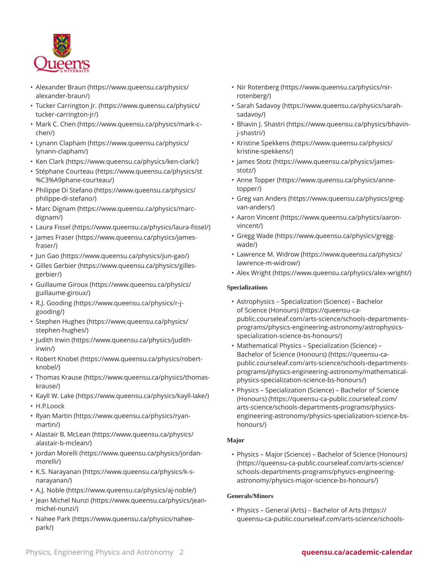

- [Alexander](https://www.queensu.ca/physics/alexander-braun/) Braun ([https://www.queensu.ca/physics/](https://www.queensu.ca/physics/alexander-braun/) [alexander-braun/\)](https://www.queensu.ca/physics/alexander-braun/)
- Tucker [Carrington](https://www.queensu.ca/physics/tucker-carrington-jr/) Jr. ([https://www.queensu.ca/physics/](https://www.queensu.ca/physics/tucker-carrington-jr/) [tucker-carrington-jr/\)](https://www.queensu.ca/physics/tucker-carrington-jr/)
- [Mark C. Chen](https://www.queensu.ca/physics/mark-c-chen/) ([https://www.queensu.ca/physics/mark-c](https://www.queensu.ca/physics/mark-c-chen/)[chen/\)](https://www.queensu.ca/physics/mark-c-chen/)
- [Lynann Clapham](https://www.queensu.ca/physics/lynann-clapham/) [\(https://www.queensu.ca/physics/](https://www.queensu.ca/physics/lynann-clapham/) [lynann-clapham/](https://www.queensu.ca/physics/lynann-clapham/))
- [Ken Clark](https://www.queensu.ca/physics/ken-clark/) (<https://www.queensu.ca/physics/ken-clark/>)
- [Stéphane Courteau](https://www.queensu.ca/physics/st%C3%A9phane-courteau/) [\(https://www.queensu.ca/physics/st](https://www.queensu.ca/physics/st%C3%A9phane-courteau/) [%C3%A9phane-courteau/\)](https://www.queensu.ca/physics/st%C3%A9phane-courteau/)
- [Philippe Di Stefano](https://www.queensu.ca/physics/philippe-di-stefano/) [\(https://www.queensu.ca/physics/](https://www.queensu.ca/physics/philippe-di-stefano/) [philippe-di-stefano/](https://www.queensu.ca/physics/philippe-di-stefano/))
- Marc [Dignam](https://www.queensu.ca/physics/marc-dignam/) ([https://www.queensu.ca/physics/marc](https://www.queensu.ca/physics/marc-dignam/)[dignam/\)](https://www.queensu.ca/physics/marc-dignam/)
- [Laura](https://www.queensu.ca/physics/laura-fissel/) Fissel ([https://www.queensu.ca/physics/laura-fissel/\)](https://www.queensu.ca/physics/laura-fissel/)
- James [Fraser](https://www.queensu.ca/physics/james-fraser/) ([https://www.queensu.ca/physics/james](https://www.queensu.ca/physics/james-fraser/)[fraser/\)](https://www.queensu.ca/physics/james-fraser/)
- [Jun Gao](https://www.queensu.ca/physics/jun-gao/) ([https://www.queensu.ca/physics/jun-gao/\)](https://www.queensu.ca/physics/jun-gao/)
- [Gilles Gerbier](https://www.queensu.ca/physics/gilles-gerbier/) ([https://www.queensu.ca/physics/gilles](https://www.queensu.ca/physics/gilles-gerbier/)[gerbier/](https://www.queensu.ca/physics/gilles-gerbier/))
- [Guillaume](https://www.queensu.ca/physics/guillaume-giroux/) Giroux [\(https://www.queensu.ca/physics/](https://www.queensu.ca/physics/guillaume-giroux/) [guillaume-giroux/\)](https://www.queensu.ca/physics/guillaume-giroux/)
- [R.J. Gooding](https://www.queensu.ca/physics/r-j-gooding/) ([https://www.queensu.ca/physics/r-j](https://www.queensu.ca/physics/r-j-gooding/)[gooding/](https://www.queensu.ca/physics/r-j-gooding/))
- [Stephen Hughes](https://www.queensu.ca/physics/stephen-hughes/) ([https://www.queensu.ca/physics/](https://www.queensu.ca/physics/stephen-hughes/) [stephen-hughes/](https://www.queensu.ca/physics/stephen-hughes/))
- [Judith Irwin](https://www.queensu.ca/physics/judith-irwin/) ([https://www.queensu.ca/physics/judith](https://www.queensu.ca/physics/judith-irwin/)[irwin/](https://www.queensu.ca/physics/judith-irwin/))
- [Robert Knobel](https://www.queensu.ca/physics/robert-knobel/) [\(https://www.queensu.ca/physics/robert](https://www.queensu.ca/physics/robert-knobel/)[knobel/\)](https://www.queensu.ca/physics/robert-knobel/)
- [Thomas](https://www.queensu.ca/physics/thomas-krause/) Krause ([https://www.queensu.ca/physics/thomas](https://www.queensu.ca/physics/thomas-krause/)[krause/](https://www.queensu.ca/physics/thomas-krause/))
- [Kayll](https://www.queensu.ca/physics/kayll-lake/) W. Lake ([https://www.queensu.ca/physics/kayll-lake/\)](https://www.queensu.ca/physics/kayll-lake/)
- H.P.Loock
- [Ryan Martin](https://www.queensu.ca/physics/ryan-martin/) ([https://www.queensu.ca/physics/ryan](https://www.queensu.ca/physics/ryan-martin/)[martin/](https://www.queensu.ca/physics/ryan-martin/))
- Alastair B. [McLean](https://www.queensu.ca/physics/alastair-b-mclean/) ([https://www.queensu.ca/physics/](https://www.queensu.ca/physics/alastair-b-mclean/) [alastair-b-mclean/\)](https://www.queensu.ca/physics/alastair-b-mclean/)
- Jordan [Morelli](https://www.queensu.ca/physics/jordan-morelli/) ([https://www.queensu.ca/physics/jordan](https://www.queensu.ca/physics/jordan-morelli/)[morelli/](https://www.queensu.ca/physics/jordan-morelli/))
- K.S. [Narayanan](https://www.queensu.ca/physics/k-s-narayanan/) [\(https://www.queensu.ca/physics/k-s](https://www.queensu.ca/physics/k-s-narayanan/)[narayanan/\)](https://www.queensu.ca/physics/k-s-narayanan/)
- [A.J. Noble](https://www.queensu.ca/physics/aj-noble/) [\(https://www.queensu.ca/physics/aj-noble/\)](https://www.queensu.ca/physics/aj-noble/)
- [Jean Michel Nunzi](https://www.queensu.ca/physics/jean-michel-nunzi/) [\(https://www.queensu.ca/physics/jean](https://www.queensu.ca/physics/jean-michel-nunzi/)[michel-nunzi/\)](https://www.queensu.ca/physics/jean-michel-nunzi/)
- [Nahee Park](https://www.queensu.ca/physics/nahee-park/) ([https://www.queensu.ca/physics/nahee](https://www.queensu.ca/physics/nahee-park/)[park/](https://www.queensu.ca/physics/nahee-park/))
- Nir [Rotenberg](https://www.queensu.ca/physics/nir-rotenberg/) [\(https://www.queensu.ca/physics/nir](https://www.queensu.ca/physics/nir-rotenberg/)[rotenberg/](https://www.queensu.ca/physics/nir-rotenberg/))
- Sarah [Sadavoy](https://www.queensu.ca/physics/sarah-sadavoy/) [\(https://www.queensu.ca/physics/sarah](https://www.queensu.ca/physics/sarah-sadavoy/)[sadavoy/\)](https://www.queensu.ca/physics/sarah-sadavoy/)
- [Bhavin J. Shastri](https://www.queensu.ca/physics/bhavin-j-shastri/) [\(https://www.queensu.ca/physics/bhavin](https://www.queensu.ca/physics/bhavin-j-shastri/)[j-shastri/\)](https://www.queensu.ca/physics/bhavin-j-shastri/)
- Kristine [Spekkens](https://www.queensu.ca/physics/kristine-spekkens/) ([https://www.queensu.ca/physics/](https://www.queensu.ca/physics/kristine-spekkens/) [kristine-spekkens/](https://www.queensu.ca/physics/kristine-spekkens/))
- [James Stotz](https://www.queensu.ca/physics/james-stotz/) ([https://www.queensu.ca/physics/james](https://www.queensu.ca/physics/james-stotz/)[stotz/\)](https://www.queensu.ca/physics/james-stotz/)
- Anne [Topper](https://www.queensu.ca/physics/anne-topper/) ([https://www.queensu.ca/physics/anne](https://www.queensu.ca/physics/anne-topper/)[topper/\)](https://www.queensu.ca/physics/anne-topper/)
- Greg van [Anders](https://www.queensu.ca/physics/greg-van-anders/) ([https://www.queensu.ca/physics/greg](https://www.queensu.ca/physics/greg-van-anders/)[van-anders/\)](https://www.queensu.ca/physics/greg-van-anders/)
- Aaron [Vincent](https://www.queensu.ca/physics/aaron-vincent/) ([https://www.queensu.ca/physics/aaron](https://www.queensu.ca/physics/aaron-vincent/)[vincent/\)](https://www.queensu.ca/physics/aaron-vincent/)
- [Gregg](https://www.queensu.ca/physics/gregg-wade/) Wade [\(https://www.queensu.ca/physics/gregg](https://www.queensu.ca/physics/gregg-wade/)[wade/](https://www.queensu.ca/physics/gregg-wade/))
- [Lawrence](https://www.queensu.ca/physics/lawrence-m-widrow/) M. Widrow [\(https://www.queensu.ca/physics/](https://www.queensu.ca/physics/lawrence-m-widrow/) [lawrence-m-widrow/\)](https://www.queensu.ca/physics/lawrence-m-widrow/)
- Alex [Wright](https://www.queensu.ca/physics/alex-wright/) ([https://www.queensu.ca/physics/alex-wright/\)](https://www.queensu.ca/physics/alex-wright/)

#### **Specializations**

- Astrophysics [Specialization](https://queensu-ca-public.courseleaf.com/arts-science/schools-departments-programs/physics-engineering-astronomy/astrophysics-specialization-science-bs-honours/) (Science) Bachelor [of Science \(Honours\)](https://queensu-ca-public.courseleaf.com/arts-science/schools-departments-programs/physics-engineering-astronomy/astrophysics-specialization-science-bs-honours/) ([https://queensu-ca](https://queensu-ca-public.courseleaf.com/arts-science/schools-departments-programs/physics-engineering-astronomy/astrophysics-specialization-science-bs-honours/)[public.courseleaf.com/arts-science/schools-departments](https://queensu-ca-public.courseleaf.com/arts-science/schools-departments-programs/physics-engineering-astronomy/astrophysics-specialization-science-bs-honours/)[programs/physics-engineering-astronomy/astrophysics](https://queensu-ca-public.courseleaf.com/arts-science/schools-departments-programs/physics-engineering-astronomy/astrophysics-specialization-science-bs-honours/)[specialization-science-bs-honours/\)](https://queensu-ca-public.courseleaf.com/arts-science/schools-departments-programs/physics-engineering-astronomy/astrophysics-specialization-science-bs-honours/)
- [Mathematical Physics Specialization \(Science\) –](https://queensu-ca-public.courseleaf.com/arts-science/schools-departments-programs/physics-engineering-astronomy/mathematical-physics-specialization-science-bs-honours/) [Bachelor of Science \(Honours\)](https://queensu-ca-public.courseleaf.com/arts-science/schools-departments-programs/physics-engineering-astronomy/mathematical-physics-specialization-science-bs-honours/) ([https://queensu-ca](https://queensu-ca-public.courseleaf.com/arts-science/schools-departments-programs/physics-engineering-astronomy/mathematical-physics-specialization-science-bs-honours/)[public.courseleaf.com/arts-science/schools-departments](https://queensu-ca-public.courseleaf.com/arts-science/schools-departments-programs/physics-engineering-astronomy/mathematical-physics-specialization-science-bs-honours/)[programs/physics-engineering-astronomy/mathematical](https://queensu-ca-public.courseleaf.com/arts-science/schools-departments-programs/physics-engineering-astronomy/mathematical-physics-specialization-science-bs-honours/)[physics-specialization-science-bs-honours/](https://queensu-ca-public.courseleaf.com/arts-science/schools-departments-programs/physics-engineering-astronomy/mathematical-physics-specialization-science-bs-honours/))
- [Physics Specialization \(Science\) Bachelor of Science](https://queensu-ca-public.courseleaf.com/arts-science/schools-departments-programs/physics-engineering-astronomy/physics-specialization-science-bs-honours/) [\(Honours\)](https://queensu-ca-public.courseleaf.com/arts-science/schools-departments-programs/physics-engineering-astronomy/physics-specialization-science-bs-honours/) [\(https://queensu-ca-public.courseleaf.com/](https://queensu-ca-public.courseleaf.com/arts-science/schools-departments-programs/physics-engineering-astronomy/physics-specialization-science-bs-honours/) [arts-science/schools-departments-programs/physics](https://queensu-ca-public.courseleaf.com/arts-science/schools-departments-programs/physics-engineering-astronomy/physics-specialization-science-bs-honours/)[engineering-astronomy/physics-specialization-science-bs](https://queensu-ca-public.courseleaf.com/arts-science/schools-departments-programs/physics-engineering-astronomy/physics-specialization-science-bs-honours/)[honours/\)](https://queensu-ca-public.courseleaf.com/arts-science/schools-departments-programs/physics-engineering-astronomy/physics-specialization-science-bs-honours/)

#### **Major**

• [Physics – Major \(Science\) – Bachelor of Science \(Honours\)](https://queensu-ca-public.courseleaf.com/arts-science/schools-departments-programs/physics-engineering-astronomy/physics-major-science-bs-honours/) ([https://queensu-ca-public.courseleaf.com/arts-science/](https://queensu-ca-public.courseleaf.com/arts-science/schools-departments-programs/physics-engineering-astronomy/physics-major-science-bs-honours/) [schools-departments-programs/physics-engineering](https://queensu-ca-public.courseleaf.com/arts-science/schools-departments-programs/physics-engineering-astronomy/physics-major-science-bs-honours/)[astronomy/physics-major-science-bs-honours/](https://queensu-ca-public.courseleaf.com/arts-science/schools-departments-programs/physics-engineering-astronomy/physics-major-science-bs-honours/))

#### **Generals/Minors**

• Physics – General (Arts) – [Bachelor](https://queensu-ca-public.courseleaf.com/arts-science/schools-departments-programs/physics-engineering-astronomy/physics-general-arts-ba/) of Arts ([https://](https://queensu-ca-public.courseleaf.com/arts-science/schools-departments-programs/physics-engineering-astronomy/physics-general-arts-ba/) [queensu-ca-public.courseleaf.com/arts-science/schools-](https://queensu-ca-public.courseleaf.com/arts-science/schools-departments-programs/physics-engineering-astronomy/physics-general-arts-ba/)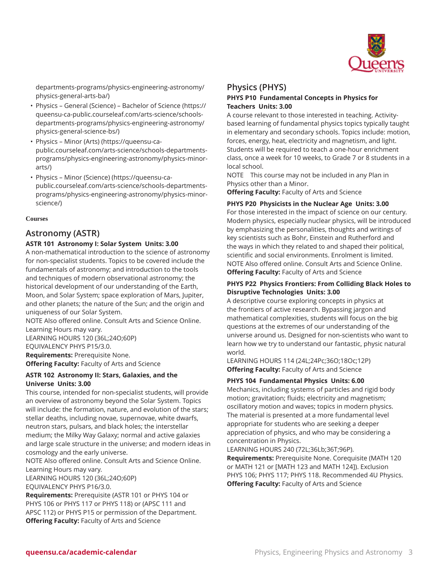

[departments-programs/physics-engineering-astronomy/](https://queensu-ca-public.courseleaf.com/arts-science/schools-departments-programs/physics-engineering-astronomy/physics-general-arts-ba/) [physics-general-arts-ba/\)](https://queensu-ca-public.courseleaf.com/arts-science/schools-departments-programs/physics-engineering-astronomy/physics-general-arts-ba/)

- Physics General (Science) [Bachelor](https://queensu-ca-public.courseleaf.com/arts-science/schools-departments-programs/physics-engineering-astronomy/physics-general-science-bs/) of Science [\(https://](https://queensu-ca-public.courseleaf.com/arts-science/schools-departments-programs/physics-engineering-astronomy/physics-general-science-bs/) [queensu-ca-public.courseleaf.com/arts-science/schools](https://queensu-ca-public.courseleaf.com/arts-science/schools-departments-programs/physics-engineering-astronomy/physics-general-science-bs/)[departments-programs/physics-engineering-astronomy/](https://queensu-ca-public.courseleaf.com/arts-science/schools-departments-programs/physics-engineering-astronomy/physics-general-science-bs/) [physics-general-science-bs/\)](https://queensu-ca-public.courseleaf.com/arts-science/schools-departments-programs/physics-engineering-astronomy/physics-general-science-bs/)
- [Physics Minor \(Arts\)](https://queensu-ca-public.courseleaf.com/arts-science/schools-departments-programs/physics-engineering-astronomy/physics-minor-arts/) [\(https://queensu-ca](https://queensu-ca-public.courseleaf.com/arts-science/schools-departments-programs/physics-engineering-astronomy/physics-minor-arts/)[public.courseleaf.com/arts-science/schools-departments](https://queensu-ca-public.courseleaf.com/arts-science/schools-departments-programs/physics-engineering-astronomy/physics-minor-arts/)[programs/physics-engineering-astronomy/physics-minor](https://queensu-ca-public.courseleaf.com/arts-science/schools-departments-programs/physics-engineering-astronomy/physics-minor-arts/)[arts/](https://queensu-ca-public.courseleaf.com/arts-science/schools-departments-programs/physics-engineering-astronomy/physics-minor-arts/))
- [Physics Minor \(Science\)](https://queensu-ca-public.courseleaf.com/arts-science/schools-departments-programs/physics-engineering-astronomy/physics-minor-science/) ([https://queensu-ca](https://queensu-ca-public.courseleaf.com/arts-science/schools-departments-programs/physics-engineering-astronomy/physics-minor-science/)[public.courseleaf.com/arts-science/schools-departments](https://queensu-ca-public.courseleaf.com/arts-science/schools-departments-programs/physics-engineering-astronomy/physics-minor-science/)[programs/physics-engineering-astronomy/physics-minor](https://queensu-ca-public.courseleaf.com/arts-science/schools-departments-programs/physics-engineering-astronomy/physics-minor-science/)[science/](https://queensu-ca-public.courseleaf.com/arts-science/schools-departments-programs/physics-engineering-astronomy/physics-minor-science/))

#### **Courses**

### **Astronomy (ASTR)**

#### **ASTR 101 Astronomy I: Solar System Units: 3.00**

A non-mathematical introduction to the science of astronomy for non-specialist students. Topics to be covered include the fundamentals of astronomy; and introduction to the tools and techniques of modern observational astronomy; the historical development of our understanding of the Earth, Moon, and Solar System; space exploration of Mars, Jupiter, and other planets; the nature of the Sun; and the origin and uniqueness of our Solar System.

NOTE Also offered online. Consult Arts and Science Online. Learning Hours may vary.

LEARNING HOURS 120 (36L;24O;60P) EQUIVALENCY PHYS P15/3.0. **Requirements:** Prerequisite None. **Offering Faculty:** Faculty of Arts and Science

#### **ASTR 102 Astronomy II: Stars, Galaxies, and the Universe Units: 3.00**

This course, intended for non-specialist students, will provide an overview of astronomy beyond the Solar System. Topics will include: the formation, nature, and evolution of the stars; stellar deaths, including novae, supernovae, white dwarfs, neutron stars, pulsars, and black holes; the interstellar medium; the Milky Way Galaxy; normal and active galaxies and large scale structure in the universe; and modern ideas in cosmology and the early universe.

NOTE Also offered online. Consult Arts and Science Online. Learning Hours may vary.

LEARNING HOURS 120 (36L;24O;60P) EQUIVALENCY PHYS P16/3.0.

**Requirements:** Prerequisite (ASTR 101 or PHYS 104 or PHYS 106 or PHYS 117 or PHYS 118) or (APSC 111 and APSC 112) or PHYS P15 or permission of the Department. **Offering Faculty:** Faculty of Arts and Science

#### **Physics (PHYS) PHYS P10 Fundamental Concepts in Physics for Teachers Units: 3.00**

A course relevant to those interested in teaching. Activitybased learning of fundamental physics topics typically taught in elementary and secondary schools. Topics include: motion, forces, energy, heat, electricity and magnetism, and light. Students will be required to teach a one-hour enrichment class, once a week for 10 weeks, to Grade 7 or 8 students in a local school.

NOTE This course may not be included in any Plan in Physics other than a Minor.

**Offering Faculty:** Faculty of Arts and Science

#### **PHYS P20 Physicists in the Nuclear Age Units: 3.00**

For those interested in the impact of science on our century. Modern physics, especially nuclear physics, will be introduced by emphasizing the personalities, thoughts and writings of key scientists such as Bohr, Einstein and Rutherford and the ways in which they related to and shaped their political, scientific and social environments. Enrolment is limited. NOTE Also offered online. Consult Arts and Science Online. **Offering Faculty:** Faculty of Arts and Science

#### **PHYS P22 Physics Frontiers: From Colliding Black Holes to Disruptive Technologies Units: 3.00**

A descriptive course exploring concepts in physics at the frontiers of active research. Bypassing jargon and mathematical complexities, students will focus on the big questions at the extremes of our understanding of the universe around us. Designed for non-scientists who want to learn how we try to understand our fantastic, physic natural world.

LEARNING HOURS 114 (24L;24Pc;36O;18Oc;12P) **Offering Faculty:** Faculty of Arts and Science

#### **PHYS 104 Fundamental Physics Units: 6.00**

Mechanics, including systems of particles and rigid body motion; gravitation; fluids; electricity and magnetism; oscillatory motion and waves; topics in modern physics. The material is presented at a more fundamental level appropriate for students who are seeking a deeper appreciation of physics, and who may be considering a concentration in Physics.

LEARNING HOURS 240 (72L;36Lb;36T;96P).

**Requirements:** Prerequisite None. Corequisite (MATH 120 or MATH 121 or [MATH 123 and MATH 124]). Exclusion PHYS 106; PHYS 117; PHYS 118. Recommended 4U Physics. **Offering Faculty:** Faculty of Arts and Science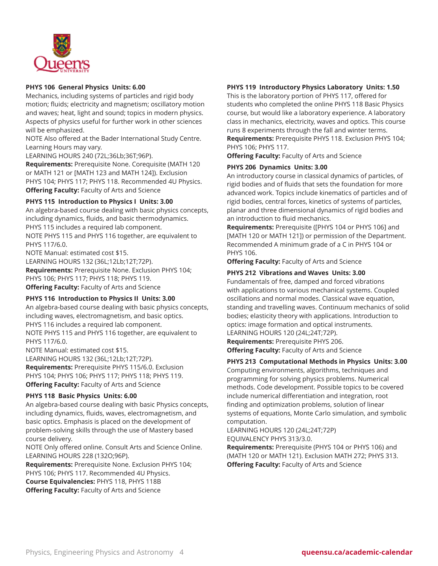

#### **PHYS 106 General Physics Units: 6.00**

Mechanics, including systems of particles and rigid body motion; fluids; electricity and magnetism; oscillatory motion and waves; heat, light and sound; topics in modern physics. Aspects of physics useful for further work in other sciences will be emphasized.

NOTE Also offered at the Bader International Study Centre. Learning Hours may vary.

LEARNING HOURS 240 (72L;36Lb;36T;96P).

**Requirements:** Prerequisite None. Corequisite (MATH 120 or MATH 121 or [MATH 123 and MATH 124]). Exclusion PHYS 104; PHYS 117; PHYS 118. Recommended 4U Physics. **Offering Faculty:** Faculty of Arts and Science

#### **PHYS 115 Introduction to Physics I Units: 3.00**

An algebra-based course dealing with basic physics concepts, including dynamics, fluids, and basic thermodynamics. PHYS 115 includes a required lab component. NOTE PHYS 115 and PHYS 116 together, are equivalent to PHYS 117/6.0.

NOTE Manual: estimated cost \$15. LEARNING HOURS 132 (36L;12Lb;12T;72P). **Requirements:** Prerequisite None. Exclusion PHYS 104; PHYS 106; PHYS 117; PHYS 118; PHYS 119. **Offering Faculty:** Faculty of Arts and Science

#### **PHYS 116 Introduction to Physics II Units: 3.00**

An algebra-based course dealing with basic physics concepts, including waves, electromagnetism, and basic optics. PHYS 116 includes a required lab component. NOTE PHYS 115 and PHYS 116 together, are equivalent to PHYS 117/6.0.

NOTE Manual: estimated cost \$15. LEARNING HOURS 132 (36L;12Lb;12T;72P). **Requirements:** Prerequisite PHYS 115/6.0. Exclusion PHYS 104; PHYS 106; PHYS 117; PHYS 118; PHYS 119. **Offering Faculty:** Faculty of Arts and Science

#### **PHYS 118 Basic Physics Units: 6.00**

An algebra-based course dealing with basic Physics concepts, including dynamics, fluids, waves, electromagnetism, and basic optics. Emphasis is placed on the development of problem-solving skills through the use of Mastery based course delivery.

NOTE Only offered online. Consult Arts and Science Online. LEARNING HOURS 228 (132O;96P).

**Requirements:** Prerequisite None. Exclusion PHYS 104; PHYS 106; PHYS 117. Recommended 4U Physics. **Course Equivalencies:** PHYS 118, PHYS 118B **Offering Faculty:** Faculty of Arts and Science

#### **PHYS 119 Introductory Physics Laboratory Units: 1.50**

This is the laboratory portion of PHYS 117, offered for students who completed the online PHYS 118 Basic Physics course, but would like a laboratory experience. A laboratory class in mechanics, electricity, waves and optics. This course runs 8 experiments through the fall and winter terms. **Requirements:** Prerequisite PHYS 118. Exclusion PHYS 104; PHYS 106; PHYS 117.

**Offering Faculty:** Faculty of Arts and Science

#### **PHYS 206 Dynamics Units: 3.00**

An introductory course in classical dynamics of particles, of rigid bodies and of fluids that sets the foundation for more advanced work. Topics include kinematics of particles and of rigid bodies, central forces, kinetics of systems of particles, planar and three dimensional dynamics of rigid bodies and an introduction to fluid mechanics.

**Requirements:** Prerequisite ([PHYS 104 or PHYS 106] and [MATH 120 or MATH 121]) or permission of the Department. Recommended A minimum grade of a C in PHYS 104 or PHYS 106.

**Offering Faculty:** Faculty of Arts and Science

#### **PHYS 212 Vibrations and Waves Units: 3.00**

Fundamentals of free, damped and forced vibrations with applications to various mechanical systems. Coupled oscillations and normal modes. Classical wave equation, standing and travelling waves. Continuum mechanics of solid bodies; elasticity theory with applications. Introduction to optics: image formation and optical instruments. LEARNING HOURS 120 (24L;24T;72P).

**Requirements:** Prerequisite PHYS 206.

**Offering Faculty:** Faculty of Arts and Science

#### **PHYS 213 Computational Methods in Physics Units: 3.00**

Computing environments, algorithms, techniques and programming for solving physics problems. Numerical methods. Code development. Possible topics to be covered include numerical differentiation and integration, root finding and optimization problems, solution of linear systems of equations, Monte Carlo simulation, and symbolic computation.

LEARNING HOURS 120 (24L;24T;72P) EQUIVALENCY PHYS 313/3.0.

**Requirements:** Prerequisite (PHYS 104 or PHYS 106) and (MATH 120 or MATH 121). Exclusion MATH 272; PHYS 313. **Offering Faculty:** Faculty of Arts and Science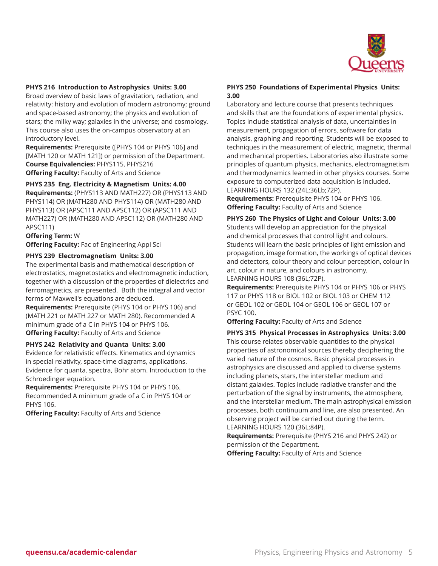

#### **PHYS 216 Introduction to Astrophysics Units: 3.00**

Broad overview of basic laws of gravitation, radiation, and relativity: history and evolution of modern astronomy; ground and space-based astronomy; the physics and evolution of stars; the milky way; galaxies in the universe; and cosmology. This course also uses the on-campus observatory at an introductory level.

**Requirements:** Prerequisite ([PHYS 104 or PHYS 106] and [MATH 120 or MATH 121]) or permission of the Department. **Course Equivalencies:** PHYS115, PHYS216 **Offering Faculty:** Faculty of Arts and Science

**PHYS 235 Eng. Electricity & Magnetism Units: 4.00 Requirements:** (PHYS113 AND MATH227) OR (PHYS113 AND

PHYS114) OR (MATH280 AND PHYS114) OR (MATH280 AND PHYS113) OR (APSC111 AND APSC112) OR (APSC111 AND MATH227) OR (MATH280 AND APSC112) OR (MATH280 AND APSC111)

#### **Offering Term:** W

**Offering Faculty:** Fac of Engineering Appl Sci

#### **PHYS 239 Electromagnetism Units: 3.00**

The experimental basis and mathematical description of electrostatics, magnetostatics and electromagnetic induction, together with a discussion of the properties of dielectrics and ferromagnetics, are presented. Both the integral and vector forms of Maxwell's equations are deduced.

**Requirements:** Prerequisite (PHYS 104 or PHYS 106) and (MATH 221 or MATH 227 or MATH 280). Recommended A minimum grade of a C in PHYS 104 or PHYS 106. **Offering Faculty:** Faculty of Arts and Science

#### **PHYS 242 Relativity and Quanta Units: 3.00**

Evidence for relativistic effects. Kinematics and dynamics in special relativity, space-time diagrams, applications. Evidence for quanta, spectra, Bohr atom. Introduction to the Schroedinger equation.

**Requirements:** Prerequisite PHYS 104 or PHYS 106. Recommended A minimum grade of a C in PHYS 104 or PHYS 106.

**Offering Faculty:** Faculty of Arts and Science

#### **PHYS 250 Foundations of Experimental Physics Units: 3.00**

Laboratory and lecture course that presents techniques and skills that are the foundations of experimental physics. Topics include statistical analysis of data, uncertainties in measurement, propagation of errors, software for data analysis, graphing and reporting. Students will be exposed to techniques in the measurement of electric, magnetic, thermal and mechanical properties. Laboratories also illustrate some principles of quantum physics, mechanics, electromagnetism and thermodynamics learned in other physics courses. Some exposure to computerized data acquisition is included. LEARNING HOURS 132 (24L;36Lb;72P).

**Requirements:** Prerequisite PHYS 104 or PHYS 106. **Offering Faculty:** Faculty of Arts and Science

**PHYS 260 The Physics of Light and Colour Units: 3.00**

Students will develop an appreciation for the physical and chemical processes that control light and colours. Students will learn the basic principles of light emission and propagation, image formation, the workings of optical devices and detectors, colour theory and colour perception, colour in art, colour in nature, and colours in astronomy. LEARNING HOURS 108 (36L;72P).

**Requirements:** Prerequisite PHYS 104 or PHYS 106 or PHYS 117 or PHYS 118 or BIOL 102 or BIOL 103 or CHEM 112 or GEOL 102 or GEOL 104 or GEOL 106 or GEOL 107 or PSYC 100.

**Offering Faculty:** Faculty of Arts and Science

**PHYS 315 Physical Processes in Astrophysics Units: 3.00** This course relates observable quantities to the physical properties of astronomical sources thereby deciphering the varied nature of the cosmos. Basic physical processes in astrophysics are discussed and applied to diverse systems including planets, stars, the interstellar medium and distant galaxies. Topics include radiative transfer and the perturbation of the signal by instruments, the atmosphere, and the interstellar medium. The main astrophysical emission processes, both continuum and line, are also presented. An observing project will be carried out during the term. LEARNING HOURS 120 (36L;84P).

**Requirements:** Prerequisite (PHYS 216 and PHYS 242) or permission of the Department. **Offering Faculty:** Faculty of Arts and Science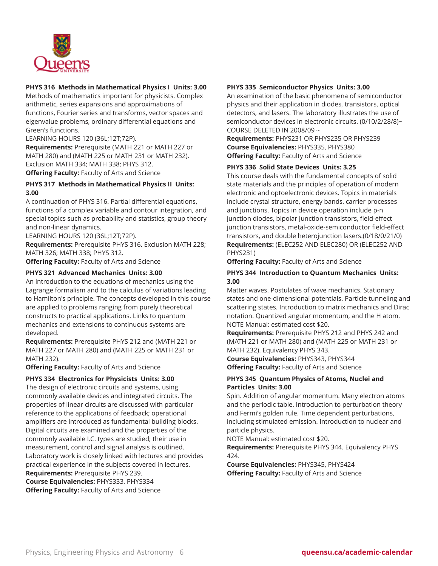

#### **PHYS 316 Methods in Mathematical Physics I Units: 3.00**

Methods of mathematics important for physicists. Complex arithmetic, series expansions and approximations of functions, Fourier series and transforms, vector spaces and eigenvalue problems, ordinary differential equations and Green's functions.

LEARNING HOURS 120 (36L;12T;72P).

**Requirements:** Prerequisite (MATH 221 or MATH 227 or MATH 280) and (MATH 225 or MATH 231 or MATH 232). Exclusion MATH 334; MATH 338; PHYS 312.

**Offering Faculty:** Faculty of Arts and Science

#### **PHYS 317 Methods in Mathematical Physics II Units: 3.00**

A continuation of PHYS 316. Partial differential equations, functions of a complex variable and contour integration, and special topics such as probability and statistics, group theory and non-linear dynamics.

LEARNING HOURS 120 (36L;12T;72P).

**Requirements:** Prerequisite PHYS 316. Exclusion MATH 228; MATH 326; MATH 338; PHYS 312.

**Offering Faculty:** Faculty of Arts and Science

#### **PHYS 321 Advanced Mechanics Units: 3.00**

An introduction to the equations of mechanics using the Lagrange formalism and to the calculus of variations leading to Hamilton's principle. The concepts developed in this course are applied to problems ranging from purely theoretical constructs to practical applications. Links to quantum mechanics and extensions to continuous systems are developed.

**Requirements:** Prerequisite PHYS 212 and (MATH 221 or MATH 227 or MATH 280) and (MATH 225 or MATH 231 or MATH 232).

**Offering Faculty:** Faculty of Arts and Science

#### **PHYS 334 Electronics for Physicists Units: 3.00**

The design of electronic circuits and systems, using commonly available devices and integrated circuits. The properties of linear circuits are discussed with particular reference to the applications of feedback; operational amplifiers are introduced as fundamental building blocks. Digital circuits are examined and the properties of the commonly available I.C. types are studied; their use in measurement, control and signal analysis is outlined. Laboratory work is closely linked with lectures and provides practical experience in the subjects covered in lectures. **Requirements:** Prerequisite PHYS 239. **Course Equivalencies:** PHYS333, PHYS334

**Offering Faculty:** Faculty of Arts and Science

#### **PHYS 335 Semiconductor Physics Units: 3.00**

An examination of the basic phenomena of semiconductor physics and their application in diodes, transistors, optical detectors, and lasers. The laboratory illustrates the use of semiconductor devices in electronic circuits. (0/10/2/28/8)~ COURSE DELETED IN 2008/09 ~

**Requirements:** PHYS231 OR PHYS235 OR PHYS239 **Course Equivalencies:** PHYS335, PHYS380 **Offering Faculty:** Faculty of Arts and Science

#### **PHYS 336 Solid State Devices Units: 3.25**

This course deals with the fundamental concepts of solid state materials and the principles of operation of modern electronic and optoelectronic devices. Topics in materials include crystal structure, energy bands, carrier processes and junctions. Topics in device operation include p-n junction diodes, bipolar junction transistors, field-effect junction transistors, metal-oxide-semiconductor field-effect transistors, and double heterojunction lasers.(0/18/0/21/0) **Requirements:** (ELEC252 AND ELEC280) OR (ELEC252 AND PHYS231)

**Offering Faculty:** Faculty of Arts and Science

#### **PHYS 344 Introduction to Quantum Mechanics Units: 3.00**

Matter waves. Postulates of wave mechanics. Stationary states and one-dimensional potentials. Particle tunneling and scattering states. Introduction to matrix mechanics and Dirac notation. Quantized angular momentum, and the H atom. NOTE Manual: estimated cost \$20.

**Requirements:** Prerequisite PHYS 212 and PHYS 242 and (MATH 221 or MATH 280) and (MATH 225 or MATH 231 or MATH 232). Equivalency PHYS 343.

**Course Equivalencies:** PHYS343, PHYS344 **Offering Faculty:** Faculty of Arts and Science

#### **PHYS 345 Quantum Physics of Atoms, Nuclei and Particles Units: 3.00**

Spin. Addition of angular momentum. Many electron atoms and the periodic table. Introduction to perturbation theory and Fermi's golden rule. Time dependent perturbations, including stimulated emission. Introduction to nuclear and particle physics.

NOTE Manual: estimated cost \$20.

**Requirements:** Prerequisite PHYS 344. Equivalency PHYS 424.

**Course Equivalencies:** PHYS345, PHYS424 **Offering Faculty:** Faculty of Arts and Science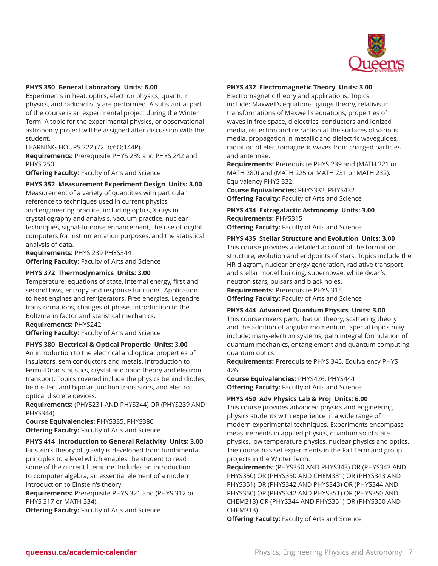

#### **PHYS 350 General Laboratory Units: 6.00**

Experiments in heat, optics, electron physics, quantum physics, and radioactivity are performed. A substantial part of the course is an experimental project during the Winter Term. A topic for the experimental physics, or observational astronomy project will be assigned after discussion with the student.

LEARNING HOURS 222 (72Lb;6O;144P).

**Requirements:** Prerequisite PHYS 239 and PHYS 242 and PHYS 250.

**Offering Faculty:** Faculty of Arts and Science

#### **PHYS 352 Measurement Experiment Design Units: 3.00**

Measurement of a variety of quantities with particular reference to techniques used in current physics and engineering practice, including optics, X-rays in crystallography and analysis, vacuum practice, nuclear techniques, signal-to-noise enhancement, the use of digital computers for instrumentation purposes, and the statistical analysis of data.

**Requirements:** PHYS 239 PHYS344 **Offering Faculty:** Faculty of Arts and Science

#### **PHYS 372 Thermodynamics Units: 3.00**

Temperature, equations of state, internal energy, first and second laws, entropy and response functions. Application to heat engines and refrigerators. Free energies, Legendre transformations, changes of phase. Introduction to the Boltzmann factor and statistical mechanics.

**Requirements:** PHYS242

**Offering Faculty:** Faculty of Arts and Science

#### **PHYS 380 Electrical & Optical Propertie Units: 3.00**

An introduction to the electrical and optical properties of insulators, semiconductors and metals. Introduction to Fermi-Dirac statistics, crystal and band theory and electron transport. Topics covered include the physics behind diodes, field effect and bipolar junction transistors, and electrooptical discrete devices.

**Requirements:** (PHYS231 AND PHYS344) OR (PHYS239 AND PHYS344)

**Course Equivalencies:** PHYS335, PHYS380 **Offering Faculty:** Faculty of Arts and Science

#### **PHYS 414 Introduction to General Relativity Units: 3.00**

Einstein's theory of gravity is developed from fundamental principles to a level which enables the student to read some of the current literature. Includes an introduction to computer algebra, an essential element of a modern introduction to Einstein's theory.

**Requirements:** Prerequisite PHYS 321 and (PHYS 312 or PHYS 317 or MATH 334).

**Offering Faculty:** Faculty of Arts and Science

#### **PHYS 432 Electromagnetic Theory Units: 3.00**

Electromagnetic theory and applications. Topics include: Maxwell's equations, gauge theory, relativistic transformations of Maxwell's equations, properties of waves in free space, dielectrics, conductors and ionized media, reflection and refraction at the surfaces of various media, propagation in metallic and dielectric waveguides, radiation of electromagnetic waves from charged particles and antennae.

**Requirements:** Prerequisite PHYS 239 and (MATH 221 or MATH 280) and (MATH 225 or MATH 231 or MATH 232). Equivalency PHYS 332.

**Course Equivalencies:** PHYS332, PHYS432 **Offering Faculty:** Faculty of Arts and Science

**PHYS 434 Extragalactic Astronomy Units: 3.00 Requirements:** PHYS315 **Offering Faculty:** Faculty of Arts and Science

#### **PHYS 435 Stellar Structure and Evolution Units: 3.00**

This course provides a detailed account of the formation, structure, evolution and endpoints of stars. Topics include the HR diagram, nuclear energy generation, radiative transport and stellar model building, supernovae, white dwarfs, neutron stars, pulsars and black holes.

**Requirements:** Prerequisite PHYS 315.

**Offering Faculty:** Faculty of Arts and Science

#### **PHYS 444 Advanced Quantum Physics Units: 3.00**

This course covers perturbation theory, scattering theory and the addition of angular momentum. Special topics may include: many-electron systems, path integral formulation of quantum mechanics, entanglement and quantum computing, quantum optics.

**Requirements:** Prerequisite PHYS 345. Equivalency PHYS 426.

**Course Equivalencies:** PHYS426, PHYS444 **Offering Faculty:** Faculty of Arts and Science

#### **PHYS 450 Adv Physics Lab & Proj Units: 6.00**

This course provides advanced physics and engineering physics students with experience in a wide range of modern experimental techniques. Experiments encompass measurements in applied physics, quantum solid state physics, low temperature physics, nuclear physics and optics. The course has set experiments in the Fall Term and group projects in the Winter Term.

**Requirements:** (PHYS350 AND PHYS343) OR (PHYS343 AND PHYS350) OR (PHYS350 AND CHEM331) OR (PHYS343 AND PHYS351) OR (PHYS342 AND PHYS343) OR (PHYS344 AND PHYS350) OR (PHYS342 AND PHYS351) OR (PHYS350 AND CHEM313) OR (PHYS344 AND PHYS351) OR (PHYS350 AND CHEM313)

**Offering Faculty:** Faculty of Arts and Science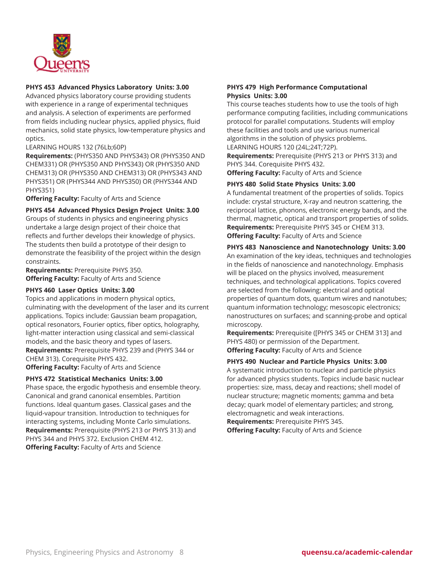

#### **PHYS 453 Advanced Physics Laboratory Units: 3.00**

Advanced physics laboratory course providing students with experience in a range of experimental techniques and analysis. A selection of experiments are performed from fields including nuclear physics, applied physics, fluid mechanics, solid state physics, low-temperature physics and optics.

LEARNING HOURS 132 (76Lb;60P)

**Requirements:** (PHYS350 AND PHYS343) OR (PHYS350 AND CHEM331) OR (PHYS350 AND PHYS343) OR (PHYS350 AND CHEM313) OR (PHYS350 AND CHEM313) OR (PHYS343 AND PHYS351) OR (PHYS344 AND PHYS350) OR (PHYS344 AND PHYS351)

**Offering Faculty:** Faculty of Arts and Science

**PHYS 454 Advanced Physics Design Project Units: 3.00**

Groups of students in physics and engineering physics undertake a large design project of their choice that reflects and further develops their knowledge of physics. The students then build a prototype of their design to demonstrate the feasibility of the project within the design constraints.

**Requirements:** Prerequisite PHYS 350. **Offering Faculty:** Faculty of Arts and Science

#### **PHYS 460 Laser Optics Units: 3.00**

Topics and applications in modern physical optics, culminating with the development of the laser and its current applications. Topics include: Gaussian beam propagation, optical resonators, Fourier optics, fiber optics, holography, light-matter interaction using classical and semi-classical models, and the basic theory and types of lasers. **Requirements:** Prerequisite PHYS 239 and (PHYS 344 or CHEM 313). Corequisite PHYS 432.

**Offering Faculty:** Faculty of Arts and Science

#### **PHYS 472 Statistical Mechanics Units: 3.00**

Phase space, the ergodic hypothesis and ensemble theory. Canonical and grand canonical ensembles. Partition functions. Ideal quantum gases. Classical gases and the liquid-vapour transition. Introduction to techniques for interacting systems, including Monte Carlo simulations. **Requirements:** Prerequisite (PHYS 213 or PHYS 313) and PHYS 344 and PHYS 372. Exclusion CHEM 412. **Offering Faculty:** Faculty of Arts and Science

#### **PHYS 479 High Performance Computational Physics Units: 3.00**

This course teaches students how to use the tools of high performance computing facilities, including communications protocol for parallel computations. Students will employ these facilities and tools and use various numerical algorithms in the solution of physics problems. LEARNING HOURS 120 (24L;24T;72P).

**Requirements:** Prerequisite (PHYS 213 or PHYS 313) and PHYS 344. Corequisite PHYS 432.

**Offering Faculty:** Faculty of Arts and Science

#### **PHYS 480 Solid State Physics Units: 3.00**

A fundamental treatment of the properties of solids. Topics include: crystal structure, X-ray and neutron scattering, the reciprocal lattice, phonons, electronic energy bands, and the thermal, magnetic, optical and transport properties of solids. **Requirements:** Prerequisite PHYS 345 or CHEM 313. **Offering Faculty:** Faculty of Arts and Science

#### **PHYS 483 Nanoscience and Nanotechnology Units: 3.00**

An examination of the key ideas, techniques and technologies in the fields of nanoscience and nanotechnology. Emphasis will be placed on the physics involved, measurement techniques, and technological applications. Topics covered are selected from the following: electrical and optical properties of quantum dots, quantum wires and nanotubes; quantum information technology; mesoscopic electronics; nanostructures on surfaces; and scanning-probe and optical microscopy.

**Requirements:** Prerequisite ([PHYS 345 or CHEM 313] and PHYS 480) or permission of the Department. **Offering Faculty:** Faculty of Arts and Science

#### **PHYS 490 Nuclear and Particle Physics Units: 3.00**

A systematic introduction to nuclear and particle physics for advanced physics students. Topics include basic nuclear properties: size, mass, decay and reactions; shell model of nuclear structure; magnetic moments; gamma and beta decay; quark model of elementary particles; and strong, electromagnetic and weak interactions. **Requirements:** Prerequisite PHYS 345.

**Offering Faculty:** Faculty of Arts and Science